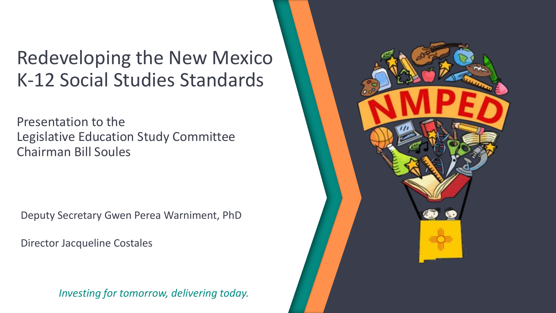### Redeveloping the New Mexico K-12 Social Studies Standards

Presentation to the Legislative Education Study Committee Chairman Bill Soules

Deputy Secretary Gwen Perea Warniment, PhD

Director Jacqueline Costales

*Investing for tomorrow, delivering today.* 

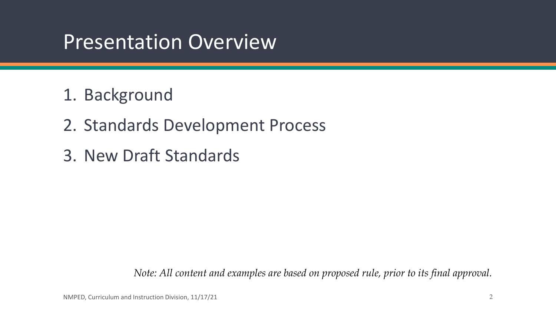## Presentation Overview

- 1. Background
- 2. Standards Development Process
- 3. New Draft Standards

*Note: All content and examples are based on proposed rule, prior to its final approval.*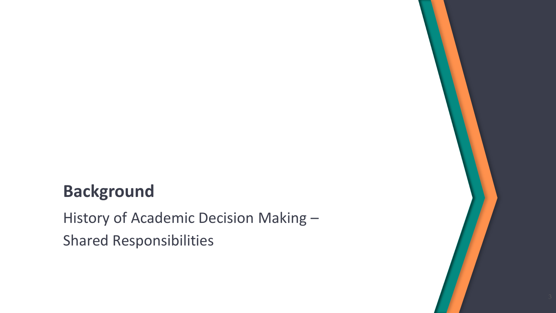### **Background**

History of Academic Decision Making – Shared Responsibilities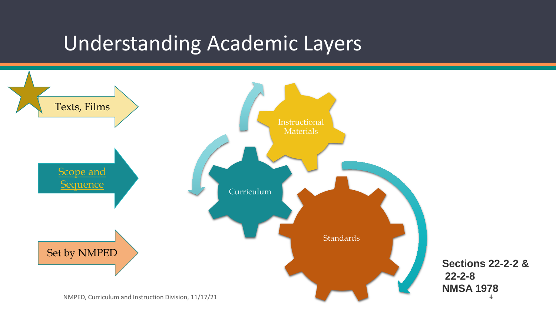## Understanding Academic Layers

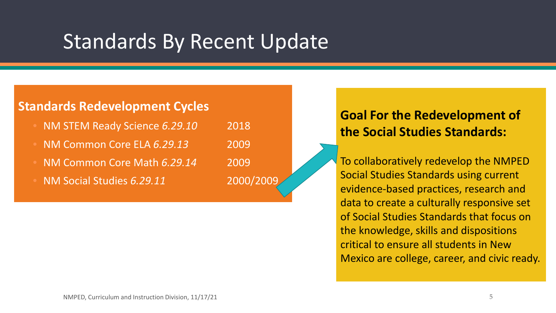## Standards By Recent Update

### **Standards Redevelopment Cycles**

- NM STEM Ready Science *6.29.10* 2018
- NM Common Core ELA *6.29.13* 2009
- NM Common Core Math *6.29.14* 2009
- NM Social Studies *6.29.11* 2000/2009

### **Goal For the Redevelopment of the Social Studies Standards:**

To collaboratively redevelop the NMPED Social Studies Standards using current evidence-based practices, research and data to create a culturally responsive set of Social Studies Standards that focus on the knowledge, skills and dispositions critical to ensure all students in New Mexico are college, career, and civic ready.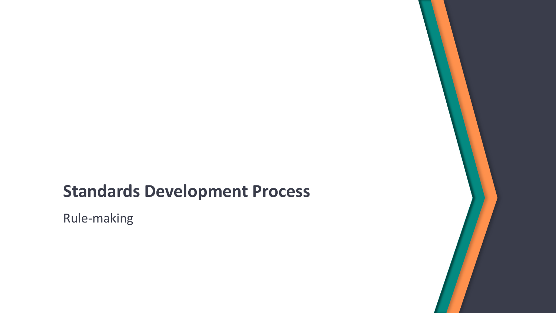### **Standards Development Process**

Rule-making

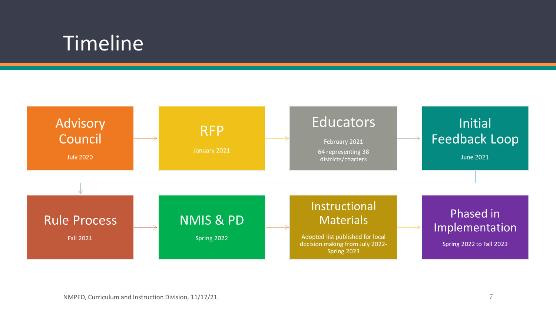## Timeline

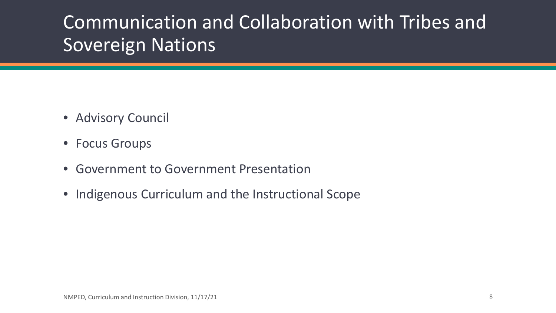## Communication and Collaboration with Tribes and Sovereign Nations

- Advisory Council
- Focus Groups
- Government to Government Presentation
- Indigenous Curriculum and the Instructional Scope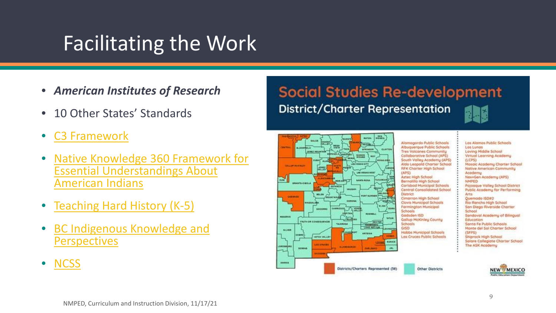## Facilitating the Work

- *American Institutes of Research*
- 10 Other States' Standards
- [C3 Framework](https://www.socialstudies.org/sites/default/files/c3/c3-framework-for-social-studies-rev0617.pdf)
- [Native Knowledge 360 Framework for](https://nam10.safelinks.protection.outlook.com/?url=https://americanindian.si.edu/nk360/pdf/NMAI-Essential-Understandings.pdf&data=04|01|BRatway@air.org|c24622812da94f465a4408d8e3082f46|9ea45dbc7b724abfa77cc770a0a8b962|0|0|637508971783890380|Unknown|TWFpbGZsb3d8eyJWIjoiMC4wLjAwMDAiLCJQIjoiV2luMzIiLCJBTiI6Ik1haWwiLCJXVCI6Mn0%3D|1000&sdata=V8XMe2dcjb6bQ9tShL6XBeM5Oq2YV3vqZQtiG0Z2IBU%3D&reserved=0) Essential Understandings About American Indians
- [Teaching Hard History \(K](https://www.learningforjustice.org/sites/default/files/2020-08/TT-2007-Teaching-Hard-History-K-5-Framework.pdf)-5)
- [BC Indigenous Knowledge and](https://curriculum.gov.bc.ca/sites/curriculum.gov.bc.ca/files/curriculum/indigenous-knowledge-and-perspectives/social-studies-K-12-indigenous-knowledge-and-perspectives.pdf) **Perspectives**

**Social Studies Re-development District/Charter Representation** 



• [NCSS](https://www.socialstudies.org/standards/national-curriculum-standards-social-studies-introduction)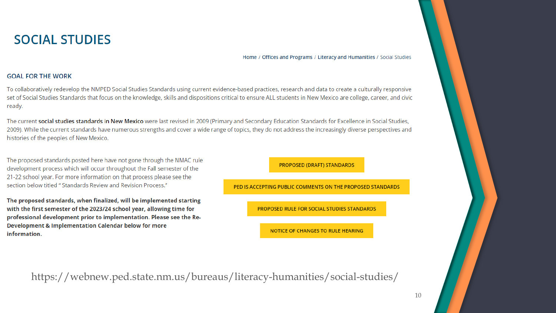### **SOCIAL STUDIES**

Home / Offices and Programs / Literacy and Humanities / Social Studies

### **GOAL FOR THE WORK**

To collaboratively redevelop the NMPED Social Studies Standards using current evidence-based practices, research and data to create a culturally responsive set of Social Studies Standards that focus on the knowledge, skills and dispositions critical to ensure ALL students in New Mexico are college, career, and civic ready.

The current social studies standards in New Mexico were last revised in 2009 (Primary and Secondary Education Standards for Excellence in Social Studies, 2009). While the current standards have numerous strengths and cover a wide range of topics, they do not address the increasingly diverse perspectives and histories of the peoples of New Mexico.

The proposed standards posted here have not gone through the NMAC rule development process which will occur throughout the Fall semester of the 21-22 school year. For more information on that process please see the section below titled " Standards Review and Revision Process."

The proposed standards, when finalized, will be implemented starting with the first semester of the 2023/24 school year, allowing time for professional development prior to implementation. Please see the Re-Development & Implementation Calendar below for more information.

**PROPOSED (DRAFT) STANDARDS** 

PED IS ACCEPTING PUBLIC COMMENTS ON THE PROPOSED STANDARDS

PROPOSED RULE FOR SOCIAL STUDIES STANDARDS

NOTICE OF CHANGES TO RULE HEARING

https://webnew.ped.state.nm.us/bureaus/literacy-humanities/social-studies/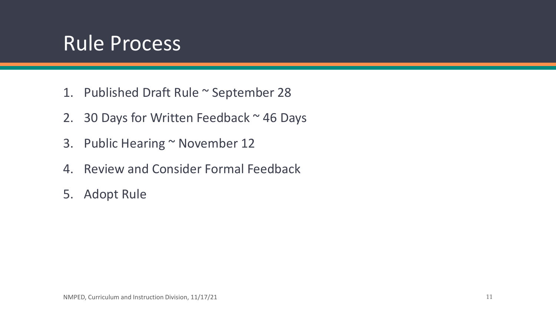## Rule Process

- 1. Published Draft Rule ~ September 28
- 2. 30 Days for Written Feedback  $\sim$  46 Days
- 3. Public Hearing ~ November 12
- 4. Review and Consider Formal Feedback
- 5. Adopt Rule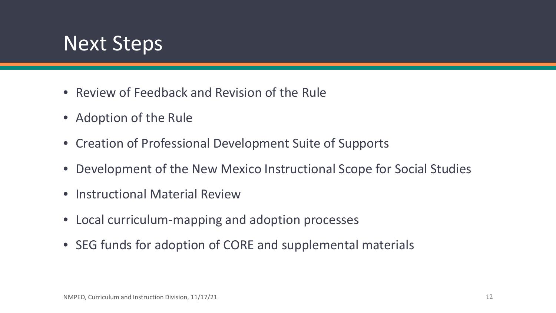

- Review of Feedback and Revision of the Rule
- Adoption of the Rule
- Creation of Professional Development Suite of Supports
- Development of the New Mexico Instructional Scope for Social Studies
- Instructional Material Review
- Local curriculum-mapping and adoption processes
- SEG funds for adoption of CORE and supplemental materials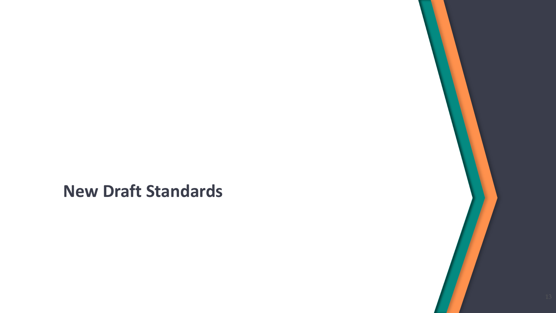**New Draft Standards**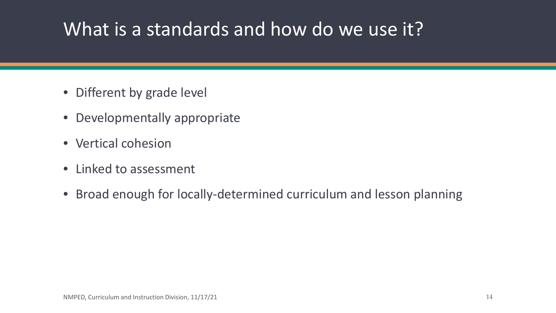### What is a standards and how do we use it?

- Different by grade level
- Developmentally appropriate
- Vertical cohesion
- Linked to assessment
- Broad enough for locally-determined curriculum and lesson planning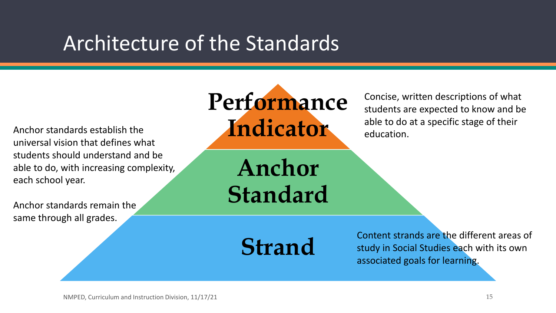## Architecture of the Standards

Anchor standards establish the universal vision that defines what students should understand and be able to do, with increasing complexity, each school year.

Anchor standards remain the same through all grades.



Concise, written descriptions of what students are expected to know and be able to do at a specific stage of their education.

**Anchor Standard**

**Strand**

Content strands are the different areas of study in Social Studies each with its own associated goals for learning.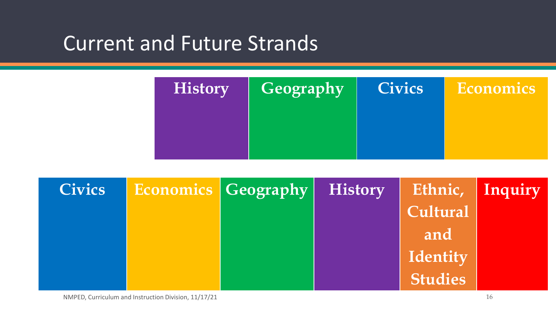### Current and Future Strands



| <b>Civics</b> | <b>Economics   Geography  </b> | <b>History</b> | Ethnic, Inquiry |  |
|---------------|--------------------------------|----------------|-----------------|--|
|               |                                |                | Cultural        |  |
|               |                                |                | and             |  |
|               |                                |                | Identity        |  |
|               |                                |                | <b>Studies</b>  |  |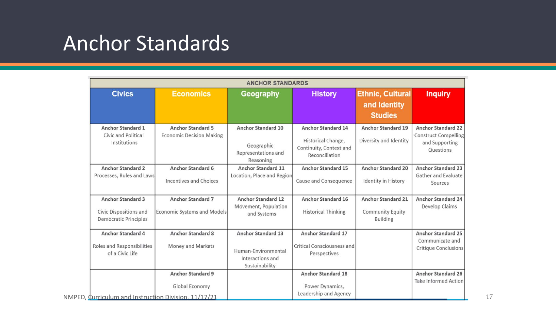## Anchor Standards

|                                                                                    |                                                                                                    | <b>ANCHOR STANDARDS</b>                                                                |                                                                                       |                                                                         |                                                                                  |
|------------------------------------------------------------------------------------|----------------------------------------------------------------------------------------------------|----------------------------------------------------------------------------------------|---------------------------------------------------------------------------------------|-------------------------------------------------------------------------|----------------------------------------------------------------------------------|
| <b>Civics</b>                                                                      | <b>Economics</b>                                                                                   | Geography                                                                              | <b>History</b>                                                                        | <b>Ethnic, Cultural</b><br>and Identity<br><b>Studies</b>               | <b>Inquiry</b>                                                                   |
| <b>Anchor Standard 1</b><br>Civic and Political<br>Institutions                    | <b>Anchor Standard 5</b><br><b>Economic Decision Making</b>                                        | <b>Anchor Standard 10</b><br>Geographic<br>Representations and<br>Reasoning            | Anchor Standard 14<br>Historical Change,<br>Continuity, Context and<br>Reconciliation | <b>Anchor Standard 19</b><br>Diversity and Identity                     | <b>Anchor Standard 22</b><br>Construct Compelling<br>and Supporting<br>Questions |
| <b>Anchor Standard 2</b><br>Processes, Rules and Laws                              | Anchor Standard 6<br>Incentives and Choices                                                        | Anchor Standard 11<br>Location, Place and Region                                       | Anchor Standard 15<br>Cause and Consequence                                           | <b>Anchor Standard 20</b><br>Identity in History                        | <b>Anchor Standard 23</b><br>Gather and Evaluate<br>Sources                      |
| <b>Anchor Standard 3</b><br>Civic Dispositions and<br><b>Democratic Principles</b> | <b>Anchor Standard 7</b><br><b>Economic Systems and Models</b>                                     | <b>Anchor Standard 12</b><br>Movement, Population<br>and Systems                       | Anchor Standard 16<br><b>Historical Thinking</b>                                      | <b>Anchor Standard 21</b><br><b>Community Equity</b><br><b>Building</b> | <b>Anchor Standard 24</b><br>Develop Claims                                      |
| <b>Anchor Standard 4</b><br><b>Roles and Responsibilities</b><br>of a Civic Life   | <b>Anchor Standard 8</b><br>Money and Markets                                                      | <b>Anchor Standard 13</b><br>Human-Environmental<br>Interactions and<br>Sustainability | <b>Anchor Standard 17</b><br><b>Critical Consciousness and</b><br>Perspectives        |                                                                         | <b>Anchor Standard 25</b><br>Communicate and<br><b>Critique Conclusions</b>      |
|                                                                                    | <b>Anchor Standard 9</b><br>Global Economy<br>NMPED, Curriculum and Instruction Division, 11/17/21 |                                                                                        | <b>Anchor Standard 18</b><br>Power Dynamics,<br>Leadership and Agency                 |                                                                         | <b>Anchor Standard 26</b><br><b>Take Informed Action</b>                         |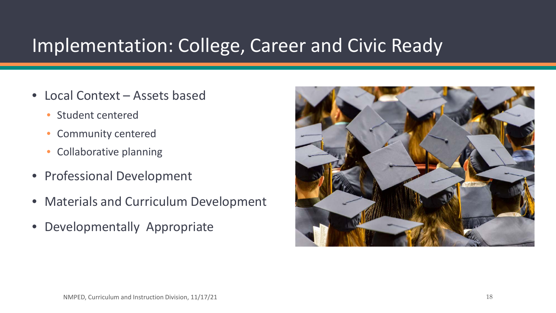### Implementation: College, Career and Civic Ready

- Local Context Assets based
	- Student centered
	- Community centered
	- Collaborative planning
- Professional Development
- Materials and Curriculum Development
- Developmentally Appropriate

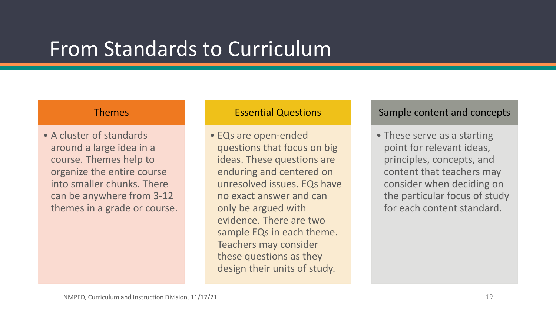### From Standards to Curriculum

### Themes

• A cluster of standards around a large idea in a course. Themes help to organize the entire course into smaller chunks. There can be anywhere from 3-12 themes in a grade or course.

### Essential Questions

• EQs are open-ended questions that focus on big ideas. These questions are enduring and centered on unresolved issues. EQs have no exact answer and can only be argued with evidence. There are two sample EQs in each theme. Teachers may consider these questions as they design their units of study.

### Sample content and concepts

• These serve as a starting point for relevant ideas, principles, concepts, and content that teachers may consider when deciding on the particular focus of study for each content standard.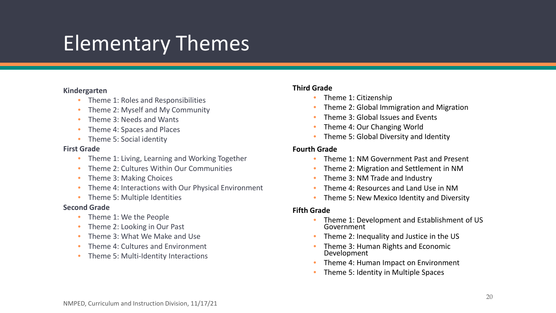## Elementary Themes

### **Kindergarten**

- Theme 1: Roles and Responsibilities
- Theme 2: Myself and My Community
- Theme 3: Needs and Wants
- Theme 4: Spaces and Places
- Theme 5: Social identity

### **First Grade**

- Theme 1: Living, Learning and Working Together
- Theme 2: Cultures Within Our Communities
- Theme 3: Making Choices
- Theme 4: Interactions with Our Physical Environment
- Theme 5: Multiple Identities

### **Second Grade**

- Theme 1: We the People
- Theme 2: Looking in Our Past
- Theme 3: What We Make and Use
- Theme 4: Cultures and Environment
- Theme 5: Multi-Identity Interactions

### **Third Grade**

- Theme 1: Citizenship
- Theme 2: Global Immigration and Migration
- Theme 3: Global Issues and Events
- Theme 4: Our Changing World
- Theme 5: Global Diversity and Identity

### **Fourth Grade**

- Theme 1: NM Government Past and Present
- Theme 2: Migration and Settlement in NM
- Theme 3: NM Trade and Industry
- Theme 4: Resources and Land Use in NM
- Theme 5: New Mexico Identity and Diversity

### **Fifth Grade**

- Theme 1: Development and Establishment of US Government
- Theme 2: Inequality and Justice in the US
- Theme 3: Human Rights and Economic Development
- Theme 4: Human Impact on Environment
- Theme 5: Identity in Multiple Spaces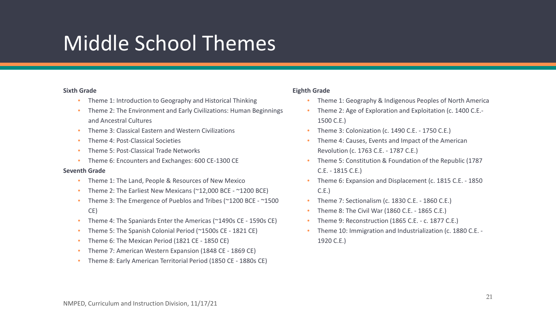## Middle School Themes

### **Sixth Grade**

- Theme 1: Introduction to Geography and Historical Thinking
- Theme 2: The Environment and Early Civilizations: Human Beginnings and Ancestral Cultures
- Theme 3: Classical Eastern and Western Civilizations
- Theme 4: Post-Classical Societies
- Theme 5: Post-Classical Trade Networks
- Theme 6: Encounters and Exchanges: 600 CE-1300 CE

#### **Seventh Grade**

- Theme 1: The Land, People & Resources of New Mexico
- Theme 2: The Earliest New Mexicans (~12,000 BCE ~1200 BCE)
- Theme 3: The Emergence of Pueblos and Tribes (~1200 BCE ~1500 CE)
- Theme 4: The Spaniards Enter the Americas (~1490s CE 1590s CE)
- Theme 5: The Spanish Colonial Period (~1500s CE 1821 CE)
- Theme 6: The Mexican Period (1821 CE 1850 CE)
- Theme 7: American Western Expansion (1848 CE 1869 CE)
- Theme 8: Early American Territorial Period (1850 CE 1880s CE)

### **Eighth Grade**

- Theme 1: Geography & Indigenous Peoples of North America
- Theme 2: Age of Exploration and Exploitation (c. 1400 C.E.- 1500 C.E.)
- Theme 3: Colonization (c. 1490 C.E. 1750 C.E.)
- Theme 4: Causes, Events and Impact of the American Revolution (c. 1763 C.E. - 1787 C.E.)
- Theme 5: Constitution & Foundation of the Republic (1787 C.E. - 1815 C.E.)
- Theme 6: Expansion and Displacement (c. 1815 C.E. 1850 C.E.)
- Theme 7: Sectionalism (c. 1830 C.E. 1860 C.E.)
- Theme 8: The Civil War (1860 C.E. 1865 C.E.)
- Theme 9: Reconstruction (1865 C.E. c. 1877 C.E.)
- Theme 10: Immigration and Industrialization (c. 1880 C.E. 1920 C.E.)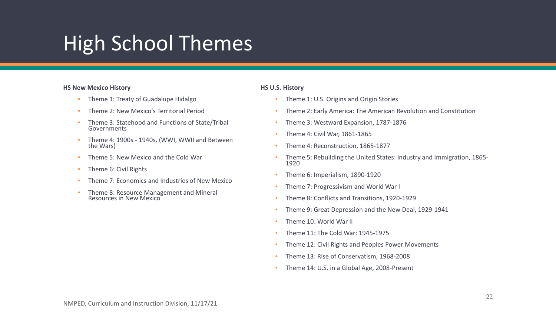## High School Themes

#### **HS New Mexico History**

- Theme 1: Treaty of Guadalupe Hidalgo
- Theme 2: New Mexico's Territorial Period
- Theme 3: Statehood and Functions of State/Tribal Governments
- Theme 4: 1900s 1940s, (WWI, WWII and Between the Wars)
- Theme 5: New Mexico and the Cold War
- Theme 6: Civil Rights
- Theme 7: Economics and Industries of New Mexico
- Theme 8: Resource Management and Mineral Resources in New Mexico

#### **HS U.S. History**

- Theme 1: U.S. Origins and Origin Stories
- Theme 2: Early America: The American Revolution and Constitution
- Theme 3: Westward Expansion, 1787-1876
- Theme 4: Civil War, 1861-1865
- Theme 4: Reconstruction, 1865-1877
- Theme 5: Rebuilding the United States: Industry and Immigration, 1865- <sup>1920</sup>
- Theme 6: Imperialism, 1890-1920
- Theme 7: Progressivism and World War I
- Theme 8: Conflicts and Transitions, 1920-1929
- Theme 9: Great Depression and the New Deal, 1929-1941
- Theme 10: World War II
- Theme 11: The Cold War: 1945-1975
- Theme 12: Civil Rights and Peoples Power Movements
- Theme 13: Rise of Conservatism, 1968-2008
- Theme 14: U.S. in a Global Age, 2008-Present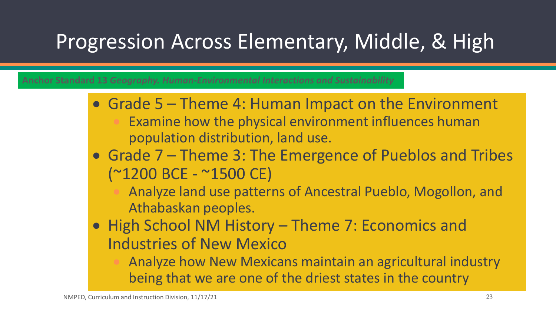# Progression Across Elementary, Middle, & High

**Anchor Standard 13** *Geography. Human-Environmental Interactions and Sustainability*

- Grade 5 Theme 4: Human Impact on the Environment Examine how the physical environment influences human population distribution, land use.
- Grade 7 Theme 3: The Emergence of Pueblos and Tribes (~1200 BCE - ~1500 CE)

• Analyze land use patterns of Ancestral Pueblo, Mogollon, and Athabaskan peoples.

• High School NM History – Theme 7: Economics and Industries of New Mexico

• Analyze how New Mexicans maintain an agricultural industry being that we are one of the driest states in the country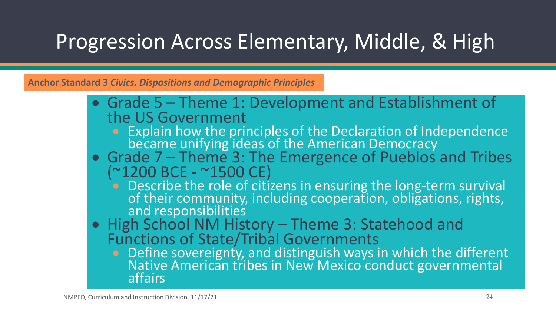# Progression Across Elementary, Middle, & High

**Anchor Standard 3** *Civics. Dispositions and Demographic Principles*

- Grade 5 Theme 1: Development and Establishment of the US Government
	- Explain how the principles of the Declaration of Independence became unifying ideas of the American Democracy
- Grade 7 Theme 3: The Emergence of Pueblos and Tribes (~1200 BCE ~1500 CE)
	- **•** Describe the role of citizens in ensuring the long-term survival of their community, including cooperation, obligations, rights, and responsibilities
- High School NM History Theme 3: Statehood and Functions of State/Tribal Governments
	- Define sovereignty, and distinguish ways in which the different Native American tribes in New Mexico conduct governmental affairs